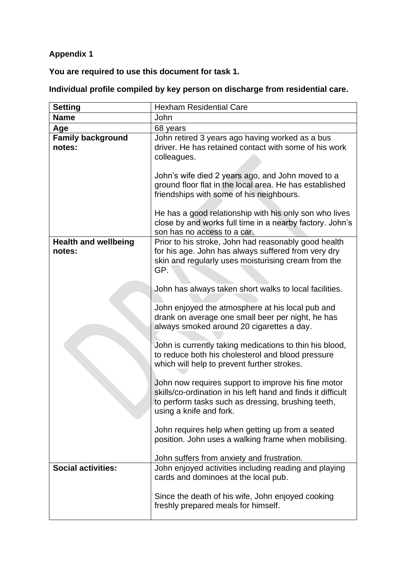## **Appendix 1**

**You are required to use this document for task 1.**

## **Individual profile compiled by key person on discharge from residential care.**

| <b>Setting</b>                        | <b>Hexham Residential Care</b>                                                                                                                                                                       |
|---------------------------------------|------------------------------------------------------------------------------------------------------------------------------------------------------------------------------------------------------|
| <b>Name</b>                           | John                                                                                                                                                                                                 |
| Age                                   | 68 years                                                                                                                                                                                             |
| <b>Family background</b><br>notes:    | John retired 3 years ago having worked as a bus<br>driver. He has retained contact with some of his work<br>colleagues.                                                                              |
|                                       | John's wife died 2 years ago, and John moved to a<br>ground floor flat in the local area. He has established<br>friendships with some of his neighbours.                                             |
|                                       | He has a good relationship with his only son who lives<br>close by and works full time in a nearby factory. John's<br>son has no access to a car.                                                    |
| <b>Health and wellbeing</b><br>notes: | Prior to his stroke, John had reasonably good health<br>for his age. John has always suffered from very dry<br>skin and regularly uses moisturising cream from the<br>GP.                            |
|                                       | John has always taken short walks to local facilities.                                                                                                                                               |
|                                       | John enjoyed the atmosphere at his local pub and<br>drank on average one small beer per night, he has<br>always smoked around 20 cigarettes a day.                                                   |
|                                       | John is currently taking medications to thin his blood,<br>to reduce both his cholesterol and blood pressure<br>which will help to prevent further strokes.                                          |
|                                       | John now requires support to improve his fine motor<br>skills/co-ordination in his left hand and finds it difficult<br>to perform tasks such as dressing, brushing teeth,<br>using a knife and fork. |
|                                       | John requires help when getting up from a seated<br>position. John uses a walking frame when mobilising.                                                                                             |
|                                       | John suffers from anxiety and frustration.                                                                                                                                                           |
| <b>Social activities:</b>             | John enjoyed activities including reading and playing<br>cards and dominoes at the local pub.                                                                                                        |
|                                       | Since the death of his wife, John enjoyed cooking<br>freshly prepared meals for himself.                                                                                                             |